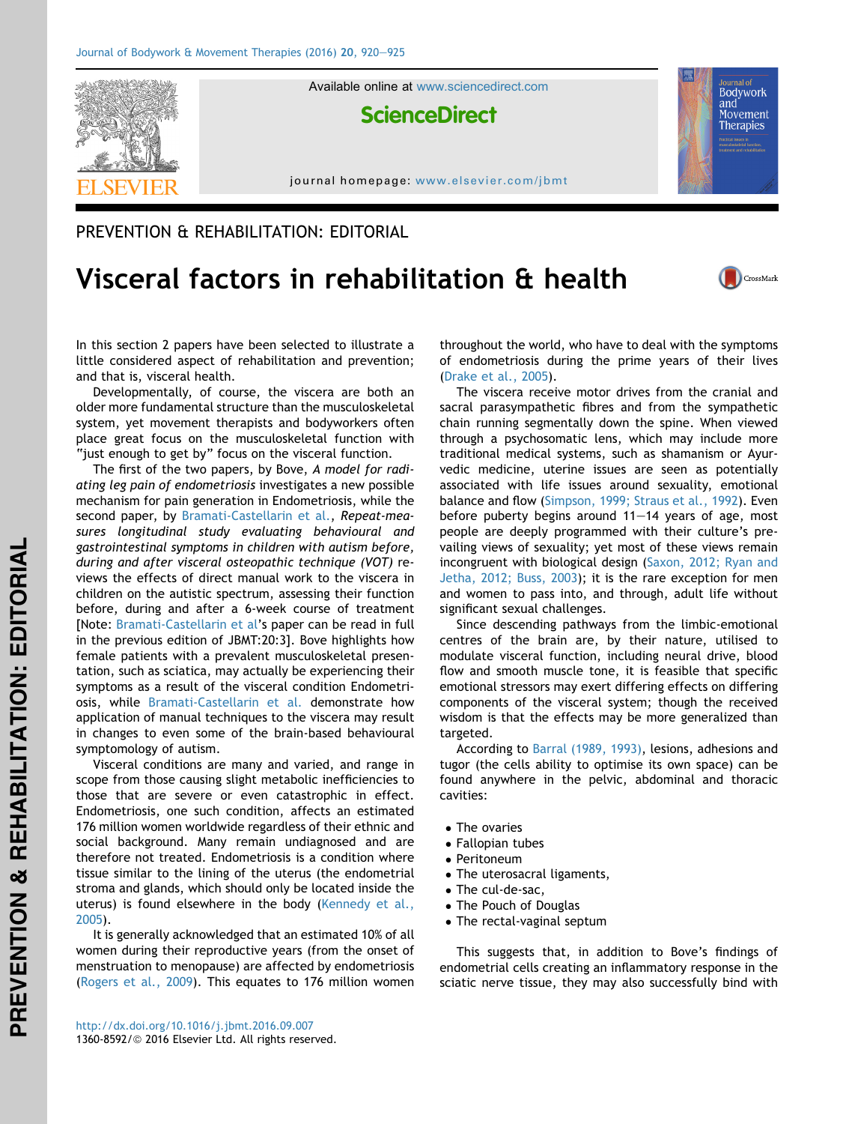

## PREVENTION & REHABILITATION: EDITORIAL

# Visceral factors in rehabilitation & health



In this section 2 papers have been selected to illustrate a little considered aspect of rehabilitation and prevention; and that is, visceral health.

Developmentally, of course, the viscera are both an older more fundamental structure than the musculoskeletal system, yet movement therapists and bodyworkers often place great focus on the musculoskeletal function with "just enough to get by" focus on the visceral function.

The first of the two papers, by Bove, A model for radiating leg pain of endometriosis investigates a new possible mechanism for pain generation in Endometriosis, while the second paper, by [Bramati-Castellarin et al.,](#page-4-0) Repeat-measures longitudinal study evaluating behavioural and gastrointestinal symptoms in children with autism before, during and after visceral osteopathic technique (VOT) reviews the effects of direct manual work to the viscera in children on the autistic spectrum, assessing their function before, during and after a 6-week course of treatment [Note: [Bramati-Castellarin et al](#page-4-0)'s paper can be read in full in the previous edition of JBMT:20:3]. Bove highlights how female patients with a prevalent musculoskeletal presentation, such as sciatica, may actually be experiencing their symptoms as a result of the visceral condition Endometri-osis, while [Bramati-Castellarin et al.](#page-4-0) demonstrate how application of manual techniques to the viscera may result in changes to even some of the brain-based behavioural symptomology of autism.

Visceral conditions are many and varied, and range in scope from those causing slight metabolic inefficiencies to those that are severe or even catastrophic in effect. Endometriosis, one such condition, affects an estimated 176 million women worldwide regardless of their ethnic and social background. Many remain undiagnosed and are therefore not treated. Endometriosis is a condition where tissue similar to the lining of the uterus (the endometrial stroma and glands, which should only be located inside the uterus) is found elsewhere in the body [\(Kennedy et al.,](#page-5-0) [2005](#page-5-0)).

It is generally acknowledged that an estimated 10% of all women during their reproductive years (from the onset of menstruation to menopause) are affected by endometriosis [\(Rogers et al., 2009](#page-5-0)). This equates to 176 million women throughout the world, who have to deal with the symptoms of endometriosis during the prime years of their lives [\(Drake et al., 2005](#page-5-0)).

The viscera receive motor drives from the cranial and sacral parasympathetic fibres and from the sympathetic chain running segmentally down the spine. When viewed through a psychosomatic lens, which may include more traditional medical systems, such as shamanism or Ayurvedic medicine, uterine issues are seen as potentially associated with life issues around sexuality, emotional balance and flow [\(Simpson, 1999; Straus et al., 1992\)](#page-5-0). Even before puberty begins around  $11-14$  years of age, most people are deeply programmed with their culture's prevailing views of sexuality; yet most of these views remain incongruent with biological design [\(Saxon, 2012; Ryan and](#page-5-0) [Jetha, 2012; Buss, 2003](#page-5-0)); it is the rare exception for men and women to pass into, and through, adult life without significant sexual challenges.

Since descending pathways from the limbic-emotional centres of the brain are, by their nature, utilised to modulate visceral function, including neural drive, blood flow and smooth muscle tone, it is feasible that specific emotional stressors may exert differing effects on differing components of the visceral system; though the received wisdom is that the effects may be more generalized than targeted.

According to [Barral \(1989, 1993\),](#page-4-0) lesions, adhesions and tugor (the cells ability to optimise its own space) can be found anywhere in the pelvic, abdominal and thoracic cavities:

- The ovaries
- Fallopian tubes
- Peritoneum
- The uterosacral ligaments,
- The cul-de-sac,
- The Pouch of Douglas
- The rectal-vaginal septum

This suggests that, in addition to Bove's findings of endometrial cells creating an inflammatory response in the sciatic nerve tissue, they may also successfully bind with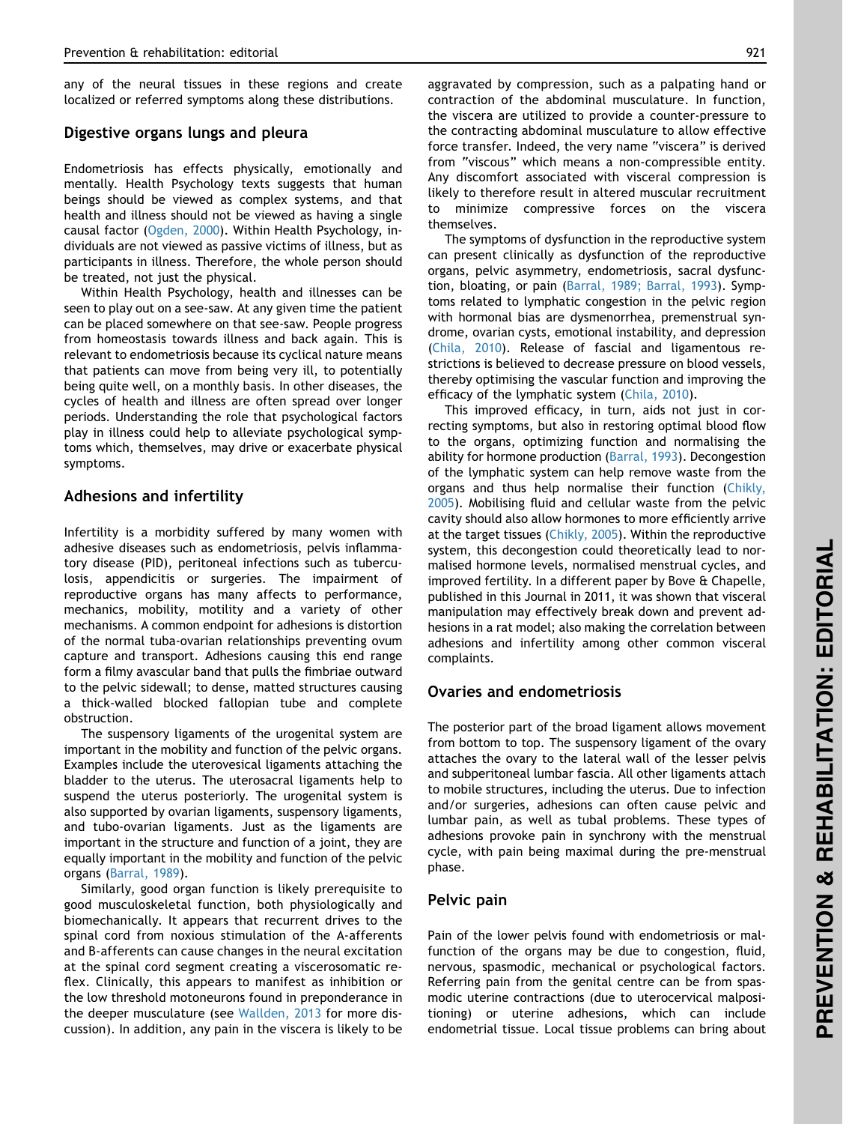any of the neural tissues in these regions and create localized or referred symptoms along these distributions.

#### Digestive organs lungs and pleura

Endometriosis has effects physically, emotionally and mentally. Health Psychology texts suggests that human beings should be viewed as complex systems, and that health and illness should not be viewed as having a single causal factor ([Ogden, 2000](#page-5-0)). Within Health Psychology, individuals are not viewed as passive victims of illness, but as participants in illness. Therefore, the whole person should be treated, not just the physical.

Within Health Psychology, health and illnesses can be seen to play out on a see-saw. At any given time the patient can be placed somewhere on that see-saw. People progress from homeostasis towards illness and back again. This is relevant to endometriosis because its cyclical nature means that patients can move from being very ill, to potentially being quite well, on a monthly basis. In other diseases, the cycles of health and illness are often spread over longer periods. Understanding the role that psychological factors play in illness could help to alleviate psychological symptoms which, themselves, may drive or exacerbate physical symptoms.

## Adhesions and infertility

Infertility is a morbidity suffered by many women with adhesive diseases such as endometriosis, pelvis inflammatory disease (PID), peritoneal infections such as tuberculosis, appendicitis or surgeries. The impairment of reproductive organs has many affects to performance, mechanics, mobility, motility and a variety of other mechanisms. A common endpoint for adhesions is distortion of the normal tuba-ovarian relationships preventing ovum capture and transport. Adhesions causing this end range form a filmy avascular band that pulls the fimbriae outward to the pelvic sidewall; to dense, matted structures causing a thick-walled blocked fallopian tube and complete obstruction.

The suspensory ligaments of the urogenital system are important in the mobility and function of the pelvic organs. Examples include the uterovesical ligaments attaching the bladder to the uterus. The uterosacral ligaments help to suspend the uterus posteriorly. The urogenital system is also supported by ovarian ligaments, suspensory ligaments, and tubo-ovarian ligaments. Just as the ligaments are important in the structure and function of a joint, they are equally important in the mobility and function of the pelvic organs ([Barral, 1989\)](#page-4-0).

Similarly, good organ function is likely prerequisite to good musculoskeletal function, both physiologically and biomechanically. It appears that recurrent drives to the spinal cord from noxious stimulation of the A-afferents and B-afferents can cause changes in the neural excitation at the spinal cord segment creating a viscerosomatic reflex. Clinically, this appears to manifest as inhibition or the low threshold motoneurons found in preponderance in the deeper musculature (see [Wallden, 2013](#page-5-0) for more discussion). In addition, any pain in the viscera is likely to be aggravated by compression, such as a palpating hand or contraction of the abdominal musculature. In function, the viscera are utilized to provide a counter-pressure to the contracting abdominal musculature to allow effective force transfer. Indeed, the very name "viscera" is derived from "viscous" which means a non-compressible entity. Any discomfort associated with visceral compression is likely to therefore result in altered muscular recruitment to minimize compressive forces on the viscera themselves.

The symptoms of dysfunction in the reproductive system can present clinically as dysfunction of the reproductive organs, pelvic asymmetry, endometriosis, sacral dysfunction, bloating, or pain ([Barral, 1989; Barral, 1993\)](#page-4-0). Symptoms related to lymphatic congestion in the pelvic region with hormonal bias are dysmenorrhea, premenstrual syndrome, ovarian cysts, emotional instability, and depression ([Chila, 2010\)](#page-4-0). Release of fascial and ligamentous restrictions is believed to decrease pressure on blood vessels, thereby optimising the vascular function and improving the efficacy of the lymphatic system ([Chila, 2010\)](#page-4-0).

This improved efficacy, in turn, aids not just in correcting symptoms, but also in restoring optimal blood flow to the organs, optimizing function and normalising the ability for hormone production ([Barral, 1993](#page-4-0)). Decongestion of the lymphatic system can help remove waste from the organs and thus help normalise their function [\(Chikly,](#page-4-0) [2005](#page-4-0)). Mobilising fluid and cellular waste from the pelvic cavity should also allow hormones to more efficiently arrive at the target tissues [\(Chikly, 2005\)](#page-4-0). Within the reproductive system, this decongestion could theoretically lead to normalised hormone levels, normalised menstrual cycles, and improved fertility. In a different paper by Bove & Chapelle, published in this Journal in 2011, it was shown that visceral manipulation may effectively break down and prevent adhesions in a rat model; also making the correlation between adhesions and infertility among other common visceral complaints.

## Ovaries and endometriosis

The posterior part of the broad ligament allows movement from bottom to top. The suspensory ligament of the ovary attaches the ovary to the lateral wall of the lesser pelvis and subperitoneal lumbar fascia. All other ligaments attach to mobile structures, including the uterus. Due to infection and/or surgeries, adhesions can often cause pelvic and lumbar pain, as well as tubal problems. These types of adhesions provoke pain in synchrony with the menstrual cycle, with pain being maximal during the pre-menstrual phase.

## Pelvic pain

Pain of the lower pelvis found with endometriosis or malfunction of the organs may be due to congestion, fluid, nervous, spasmodic, mechanical or psychological factors. Referring pain from the genital centre can be from spasmodic uterine contractions (due to uterocervical malpositioning) or uterine adhesions, which can include endometrial tissue. Local tissue problems can bring about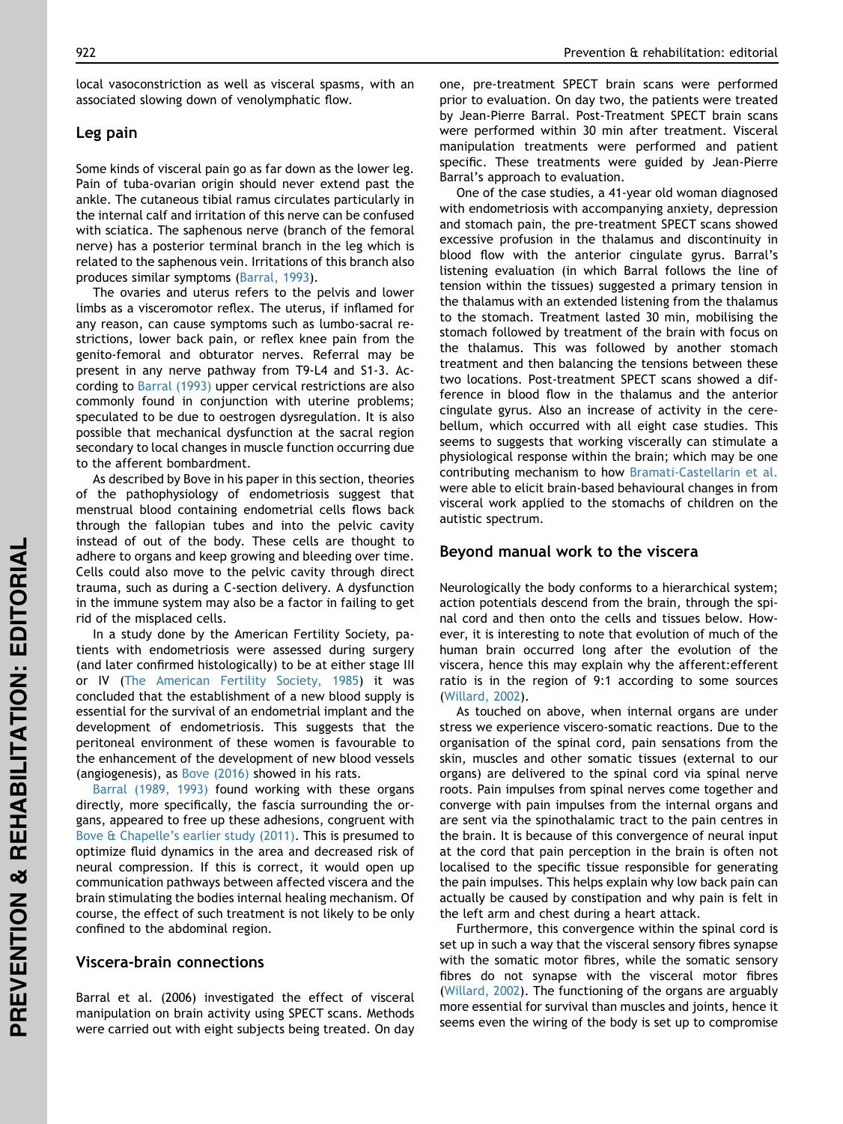local vasoconstriction as well as visceral spasms, with an associated slowing down of venolymphatic flow.

## Leg pain

Some kinds of visceral pain go as far down as the lower leg. Pain of tuba-ovarian origin should never extend past the ankle. The cutaneous tibial ramus circulates particularly in the internal calf and irritation of this nerve can be confused with sciatica. The saphenous nerve (branch of the femoral nerve) has a posterior terminal branch in the leg which is related to the saphenous vein. Irritations of this branch also produces similar symptoms ([Barral, 1993\)](#page-4-0).

The ovaries and uterus refers to the pelvis and lower limbs as a visceromotor reflex. The uterus, if inflamed for any reason, can cause symptoms such as lumbo-sacral restrictions, lower back pain, or reflex knee pain from the genito-femoral and obturator nerves. Referral may be present in any nerve pathway from T9-L4 and S1-3. According to [Barral \(1993\)](#page-4-0) upper cervical restrictions are also commonly found in conjunction with uterine problems; speculated to be due to oestrogen dysregulation. It is also possible that mechanical dysfunction at the sacral region secondary to local changes in muscle function occurring due to the afferent bombardment.

As described by Bove in his paper in this section, theories of the pathophysiology of endometriosis suggest that menstrual blood containing endometrial cells flows back through the fallopian tubes and into the pelvic cavity instead of out of the body. These cells are thought to adhere to organs and keep growing and bleeding over time. Cells could also move to the pelvic cavity through direct trauma, such as during a C-section delivery. A dysfunction in the immune system may also be a factor in failing to get rid of the misplaced cells.

In a study done by the American Fertility Society, patients with endometriosis were assessed during surgery (and later confirmed histologically) to be at either stage III or IV ([The American Fertility Society, 1985\)](#page-5-0) it was concluded that the establishment of a new blood supply is essential for the survival of an endometrial implant and the development of endometriosis. This suggests that the peritoneal environment of these women is favourable to the enhancement of the development of new blood vessels (angiogenesis), as [Bove \(2016\)](#page-4-0) showed in his rats.

[Barral \(1989, 1993\)](#page-4-0) found working with these organs directly, more specifically, the fascia surrounding the organs, appeared to free up these adhesions, congruent with [Bove & Chapelle's earlier study \(2011\)](#page-4-0). This is presumed to optimize fluid dynamics in the area and decreased risk of neural compression. If this is correct, it would open up communication pathways between affected viscera and the brain stimulating the bodies internal healing mechanism. Of course, the effect of such treatment is not likely to be only confined to the abdominal region.

#### Viscera-brain connections

Barral et al. (2006) investigated the effect of visceral manipulation on brain activity using SPECT scans. Methods were carried out with eight subjects being treated. On day

one, pre-treatment SPECT brain scans were performed prior to evaluation. On day two, the patients were treated by Jean-Pierre Barral. Post-Treatment SPECT brain scans were performed within 30 min after treatment. Visceral manipulation treatments were performed and patient specific. These treatments were guided by Jean-Pierre Barral's approach to evaluation.

One of the case studies, a 41-year old woman diagnosed with endometriosis with accompanying anxiety, depression and stomach pain, the pre-treatment SPECT scans showed excessive profusion in the thalamus and discontinuity in blood flow with the anterior cingulate gyrus. Barral's listening evaluation (in which Barral follows the line of tension within the tissues) suggested a primary tension in the thalamus with an extended listening from the thalamus to the stomach. Treatment lasted 30 min, mobilising the stomach followed by treatment of the brain with focus on the thalamus. This was followed by another stomach treatment and then balancing the tensions between these two locations. Post-treatment SPECT scans showed a difference in blood flow in the thalamus and the anterior cingulate gyrus. Also an increase of activity in the cerebellum, which occurred with all eight case studies. This seems to suggests that working viscerally can stimulate a physiological response within the brain; which may be one contributing mechanism to how [Bramati-Castellarin et al.](#page-4-0) were able to elicit brain-based behavioural changes in from visceral work applied to the stomachs of children on the autistic spectrum.

## Beyond manual work to the viscera

Neurologically the body conforms to a hierarchical system; action potentials descend from the brain, through the spinal cord and then onto the cells and tissues below. However, it is interesting to note that evolution of much of the human brain occurred long after the evolution of the viscera, hence this may explain why the afferent:efferent ratio is in the region of 9:1 according to some sources [\(Willard, 2002\)](#page-5-0).

As touched on above, when internal organs are under stress we experience viscero-somatic reactions. Due to the organisation of the spinal cord, pain sensations from the skin, muscles and other somatic tissues (external to our organs) are delivered to the spinal cord via spinal nerve roots. Pain impulses from spinal nerves come together and converge with pain impulses from the internal organs and are sent via the spinothalamic tract to the pain centres in the brain. It is because of this convergence of neural input at the cord that pain perception in the brain is often not localised to the specific tissue responsible for generating the pain impulses. This helps explain why low back pain can actually be caused by constipation and why pain is felt in the left arm and chest during a heart attack.

Furthermore, this convergence within the spinal cord is set up in such a way that the visceral sensory fibres synapse with the somatic motor fibres, while the somatic sensory fibres do not synapse with the visceral motor fibres [\(Willard, 2002](#page-5-0)). The functioning of the organs are arguably more essential for survival than muscles and joints, hence it seems even the wiring of the body is set up to compromise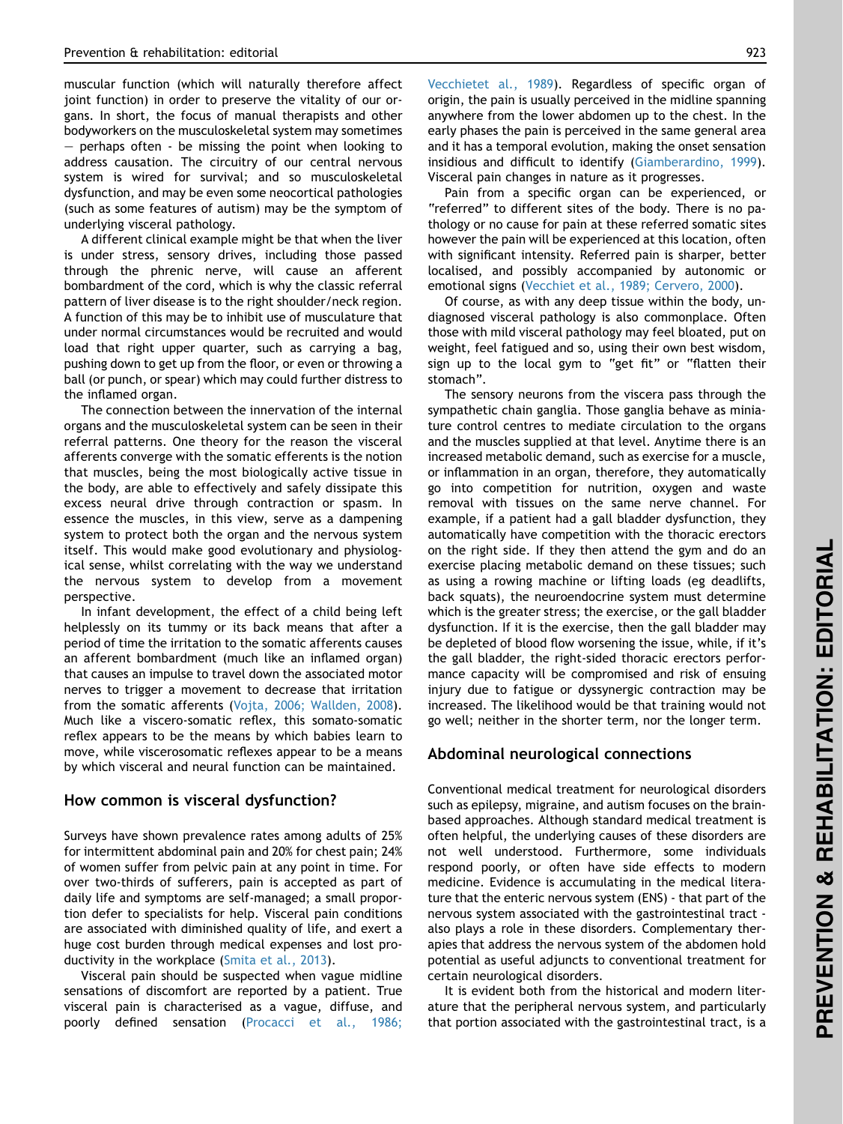muscular function (which will naturally therefore affect joint function) in order to preserve the vitality of our organs. In short, the focus of manual therapists and other bodyworkers on the musculoskeletal system may sometimes  $-$  perhaps often  $-$  be missing the point when looking to address causation. The circuitry of our central nervous system is wired for survival; and so musculoskeletal dysfunction, and may be even some neocortical pathologies (such as some features of autism) may be the symptom of underlying visceral pathology.

A different clinical example might be that when the liver is under stress, sensory drives, including those passed through the phrenic nerve, will cause an afferent bombardment of the cord, which is why the classic referral pattern of liver disease is to the right shoulder/neck region. A function of this may be to inhibit use of musculature that under normal circumstances would be recruited and would load that right upper quarter, such as carrying a bag, pushing down to get up from the floor, or even or throwing a ball (or punch, or spear) which may could further distress to the inflamed organ.

The connection between the innervation of the internal organs and the musculoskeletal system can be seen in their referral patterns. One theory for the reason the visceral afferents converge with the somatic efferents is the notion that muscles, being the most biologically active tissue in the body, are able to effectively and safely dissipate this excess neural drive through contraction or spasm. In essence the muscles, in this view, serve as a dampening system to protect both the organ and the nervous system itself. This would make good evolutionary and physiological sense, whilst correlating with the way we understand the nervous system to develop from a movement perspective.

In infant development, the effect of a child being left helplessly on its tummy or its back means that after a period of time the irritation to the somatic afferents causes an afferent bombardment (much like an inflamed organ) that causes an impulse to travel down the associated motor nerves to trigger a movement to decrease that irritation from the somatic afferents [\(Vojta, 2006; Wallden, 2008\)](#page-5-0). Much like a viscero-somatic reflex, this somato-somatic reflex appears to be the means by which babies learn to move, while viscerosomatic reflexes appear to be a means by which visceral and neural function can be maintained.

#### How common is visceral dysfunction?

Surveys have shown prevalence rates among adults of 25% for intermittent abdominal pain and 20% for chest pain; 24% of women suffer from pelvic pain at any point in time. For over two-thirds of sufferers, pain is accepted as part of daily life and symptoms are self-managed; a small proportion defer to specialists for help. Visceral pain conditions are associated with diminished quality of life, and exert a huge cost burden through medical expenses and lost productivity in the workplace [\(Smita et al., 2013](#page-5-0)).

Visceral pain should be suspected when vague midline sensations of discomfort are reported by a patient. True visceral pain is characterised as a vague, diffuse, and poorly defined sensation [\(Procacci et al., 1986;](#page-5-0) [Vecchietet al., 1989](#page-5-0)). Regardless of specific organ of origin, the pain is usually perceived in the midline spanning anywhere from the lower abdomen up to the chest. In the early phases the pain is perceived in the same general area and it has a temporal evolution, making the onset sensation insidious and difficult to identify ([Giamberardino, 1999\)](#page-5-0). Visceral pain changes in nature as it progresses.

Pain from a specific organ can be experienced, or "referred" to different sites of the body. There is no pathology or no cause for pain at these referred somatic sites however the pain will be experienced at this location, often with significant intensity. Referred pain is sharper, better localised, and possibly accompanied by autonomic or emotional signs [\(Vecchiet et al., 1989; Cervero, 2000](#page-5-0)).

Of course, as with any deep tissue within the body, undiagnosed visceral pathology is also commonplace. Often those with mild visceral pathology may feel bloated, put on weight, feel fatigued and so, using their own best wisdom, sign up to the local gym to "get fit" or "flatten their stomach".

The sensory neurons from the viscera pass through the sympathetic chain ganglia. Those ganglia behave as miniature control centres to mediate circulation to the organs and the muscles supplied at that level. Anytime there is an increased metabolic demand, such as exercise for a muscle, or inflammation in an organ, therefore, they automatically go into competition for nutrition, oxygen and waste removal with tissues on the same nerve channel. For example, if a patient had a gall bladder dysfunction, they automatically have competition with the thoracic erectors on the right side. If they then attend the gym and do an exercise placing metabolic demand on these tissues; such as using a rowing machine or lifting loads (eg deadlifts, back squats), the neuroendocrine system must determine which is the greater stress; the exercise, or the gall bladder dysfunction. If it is the exercise, then the gall bladder may be depleted of blood flow worsening the issue, while, if it's the gall bladder, the right-sided thoracic erectors performance capacity will be compromised and risk of ensuing injury due to fatigue or dyssynergic contraction may be increased. The likelihood would be that training would not go well; neither in the shorter term, nor the longer term.

#### Abdominal neurological connections

Conventional medical treatment for neurological disorders such as epilepsy, migraine, and autism focuses on the brainbased approaches. Although standard medical treatment is often helpful, the underlying causes of these disorders are not well understood. Furthermore, some individuals respond poorly, or often have side effects to modern medicine. Evidence is accumulating in the medical literature that the enteric nervous system (ENS) - that part of the nervous system associated with the gastrointestinal tract also plays a role in these disorders. Complementary therapies that address the nervous system of the abdomen hold potential as useful adjuncts to conventional treatment for certain neurological disorders.

It is evident both from the historical and modern literature that the peripheral nervous system, and particularly that portion associated with the gastrointestinal tract, is a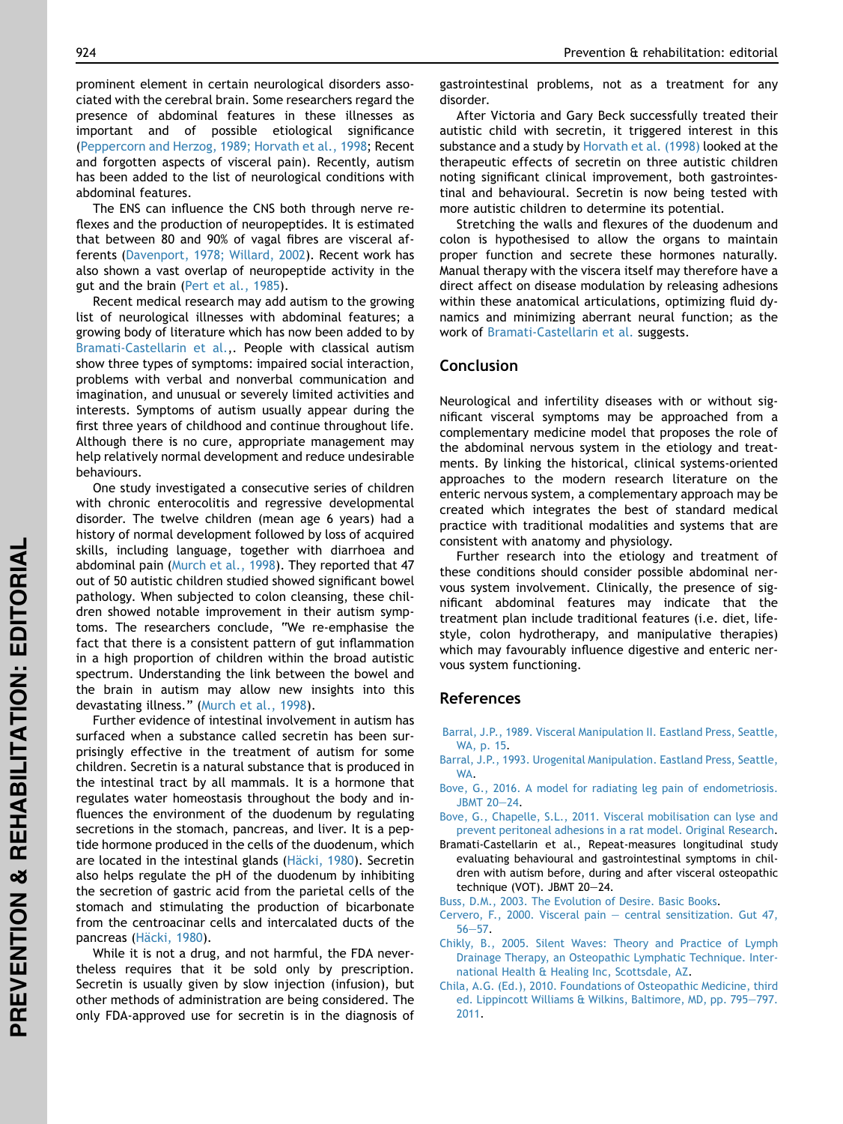<span id="page-4-0"></span>prominent element in certain neurological disorders associated with the cerebral brain. Some researchers regard the presence of abdominal features in these illnesses as important and of possible etiological significance [\(Peppercorn and Herzog, 1989; Horvath et al., 1998](#page-5-0); Recent and forgotten aspects of visceral pain). Recently, autism has been added to the list of neurological conditions with abdominal features.

The ENS can influence the CNS both through nerve reflexes and the production of neuropeptides. It is estimated that between 80 and 90% of vagal fibres are visceral afferents [\(Davenport, 1978; Willard, 2002\)](#page-5-0). Recent work has also shown a vast overlap of neuropeptide activity in the gut and the brain ([Pert et al., 1985\)](#page-5-0).

Recent medical research may add autism to the growing list of neurological illnesses with abdominal features; a growing body of literature which has now been added to by Bramati-Castellarin et al.,. People with classical autism show three types of symptoms: impaired social interaction, problems with verbal and nonverbal communication and imagination, and unusual or severely limited activities and interests. Symptoms of autism usually appear during the first three years of childhood and continue throughout life. Although there is no cure, appropriate management may help relatively normal development and reduce undesirable behaviours.

One study investigated a consecutive series of children with chronic enterocolitis and regressive developmental disorder. The twelve children (mean age 6 years) had a history of normal development followed by loss of acquired skills, including language, together with diarrhoea and abdominal pain ([Murch et al., 1998\)](#page-5-0). They reported that 47 out of 50 autistic children studied showed significant bowel pathology. When subjected to colon cleansing, these children showed notable improvement in their autism symptoms. The researchers conclude, "We re-emphasise the fact that there is a consistent pattern of gut inflammation in a high proportion of children within the broad autistic spectrum. Understanding the link between the bowel and the brain in autism may allow new insights into this devastating illness." [\(Murch et al., 1998\)](#page-5-0).

Further evidence of intestinal involvement in autism has surfaced when a substance called secretin has been surprisingly effective in the treatment of autism for some children. Secretin is a natural substance that is produced in the intestinal tract by all mammals. It is a hormone that regulates water homeostasis throughout the body and influences the environment of the duodenum by regulating secretions in the stomach, pancreas, and liver. It is a peptide hormone produced in the cells of the duodenum, which are located in the intestinal glands (Häcki, 1980). Secretin also helps regulate the pH of the duodenum by inhibiting the secretion of gastric acid from the parietal cells of the stomach and stimulating the production of bicarbonate from the centroacinar cells and intercalated ducts of the pancreas (Häcki, 1980).

While it is not a drug, and not harmful, the FDA nevertheless requires that it be sold only by prescription. Secretin is usually given by slow injection (infusion), but other methods of administration are being considered. The only FDA-approved use for secretin is in the diagnosis of

gastrointestinal problems, not as a treatment for any disorder.

After Victoria and Gary Beck successfully treated their autistic child with secretin, it triggered interest in this substance and a study by [Horvath et al. \(1998\)](#page-5-0) looked at the therapeutic effects of secretin on three autistic children noting significant clinical improvement, both gastrointestinal and behavioural. Secretin is now being tested with more autistic children to determine its potential.

Stretching the walls and flexures of the duodenum and colon is hypothesised to allow the organs to maintain proper function and secrete these hormones naturally. Manual therapy with the viscera itself may therefore have a direct affect on disease modulation by releasing adhesions within these anatomical articulations, optimizing fluid dynamics and minimizing aberrant neural function; as the work of Bramati-Castellarin et al. suggests.

#### Conclusion

Neurological and infertility diseases with or without significant visceral symptoms may be approached from a complementary medicine model that proposes the role of the abdominal nervous system in the etiology and treatments. By linking the historical, clinical systems-oriented approaches to the modern research literature on the enteric nervous system, a complementary approach may be created which integrates the best of standard medical practice with traditional modalities and systems that are consistent with anatomy and physiology.

Further research into the etiology and treatment of these conditions should consider possible abdominal nervous system involvement. Clinically, the presence of significant abdominal features may indicate that the treatment plan include traditional features (i.e. diet, lifestyle, colon hydrotherapy, and manipulative therapies) which may favourably influence digestive and enteric nervous system functioning.

#### References

- [Barral, J.P., 1989. Visceral Manipulation II. Eastland Press, Seattle,](http://refhub.elsevier.com/S1360-8592(16)30196-6/sref1) [WA, p. 15.](http://refhub.elsevier.com/S1360-8592(16)30196-6/sref1)
- [Barral, J.P., 1993. Urogenital Manipulation. Eastland Press, Seattle,](http://refhub.elsevier.com/S1360-8592(16)30196-6/sref2) [WA.](http://refhub.elsevier.com/S1360-8592(16)30196-6/sref2)
- [Bove, G., 2016. A model for radiating leg pain of endometriosis.](http://refhub.elsevier.com/S1360-8592(16)30196-6/sref32)  $JBMT 20-24.$  $JBMT 20-24.$  $JBMT 20-24.$
- [Bove, G., Chapelle, S.L., 2011. Visceral mobilisation can lyse and](http://refhub.elsevier.com/S1360-8592(16)30196-6/sref4) [prevent peritoneal adhesions in a rat model. Original Research](http://refhub.elsevier.com/S1360-8592(16)30196-6/sref4).
- Bramati-Castellarin et al., Repeat-measures longitudinal study evaluating behavioural and gastrointestinal symptoms in children with autism before, during and after visceral osteopathic technique (VOT). JBMT 20-24.
- [Buss, D.M., 2003. The Evolution of Desire. Basic Books.](http://refhub.elsevier.com/S1360-8592(16)30196-6/sref30)
- [Cervero, F., 2000. Visceral pain](http://refhub.elsevier.com/S1360-8592(16)30196-6/sref5)  $-$  [central sensitization. Gut 47,](http://refhub.elsevier.com/S1360-8592(16)30196-6/sref5)  $56 - 57.$  $56 - 57.$  $56 - 57.$  $56 - 57.$
- [Chikly, B., 2005. Silent Waves: Theory and Practice of Lymph](http://refhub.elsevier.com/S1360-8592(16)30196-6/sref6) [Drainage Therapy, an Osteopathic Lymphatic Technique. Inter](http://refhub.elsevier.com/S1360-8592(16)30196-6/sref6)[national Health & Healing Inc, Scottsdale, AZ](http://refhub.elsevier.com/S1360-8592(16)30196-6/sref6).
- [Chila, A.G. \(Ed.\), 2010. Foundations of Osteopathic Medicine, third](http://refhub.elsevier.com/S1360-8592(16)30196-6/sref7) [ed. Lippincott Williams & Wilkins, Baltimore, MD, pp. 795](http://refhub.elsevier.com/S1360-8592(16)30196-6/sref7)-[797.](http://refhub.elsevier.com/S1360-8592(16)30196-6/sref7) [2011](http://refhub.elsevier.com/S1360-8592(16)30196-6/sref7).